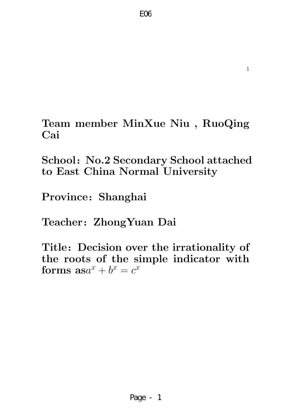

School: No.2 Secondary School attached to East China Normal University

Province: Shanghai

Teacher: ZhongYuan Dai

Title: Decision over the irrationality of the roots of the simple indicator with forms  $\textbf{as}a^x + b^x = c^x$ 

1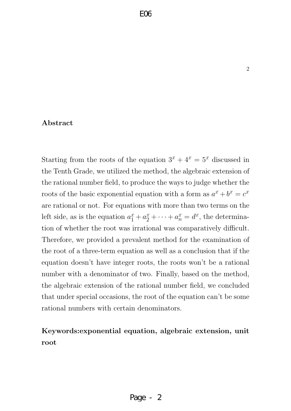#### Abstract

Starting from the roots of the equation  $3^x + 4^x = 5^x$  discussed in the Tenth Grade, we utilized the method, the algebraic extension of the rational number field, to produce the ways to judge whether the roots of the basic exponential equation with a form as  $a^x + b^x = c^x$ are rational or not. For equations with more than two terms on the left side, as is the equation  $a_1^x + a_2^x + \cdots + a_n^x = d^x$ , the determination of whether the root was irrational was comparatively difficult. Therefore, we provided a prevalent method for the examination of the root of a three-term equation as well as a conclusion that if the equation doesn't have integer roots, the roots won't be a rational number with a denominator of two. Finally, based on the method, the algebraic extension of the rational number field, we concluded that under special occasions, the root of the equation can't be some rational numbers with certain denominators.

### Keywords:exponential equation, algebraic extension, unit root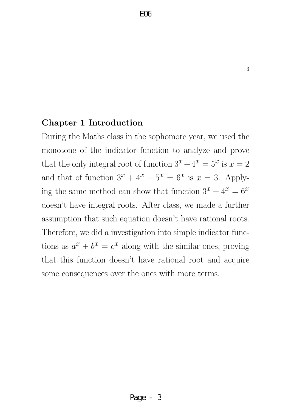### Chapter 1 Introduction

During the Maths class in the sophomore year, we used the monotone of the indicator function to analyze and prove that the only integral root of function  $3^x + 4^x = 5^x$  is  $x = 2$ and that of function  $3^x + 4^x + 5^x = 6^x$  is  $x = 3$ . Applying the same method can show that function  $3^x + 4^x = 6^x$ doesn't have integral roots. After class, we made a further assumption that such equation doesn't have rational roots. Therefore, we did a investigation into simple indicator functions as  $a^x + b^x = c^x$  along with the similar ones, proving that this function doesn't have rational root and acquire some consequences over the ones with more terms.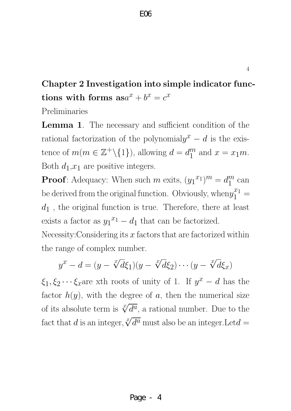Chapter 2 Investigation into simple indicator functions with forms  $\textbf{as}a^x + b^x = c^x$ 

Preliminaries

**Lemma 1.** The necessary and sufficient condition of the rational factorization of the polynomial $y^x - d$  is the existence of  $m(m \in \mathbb{Z}^+\backslash \{1\})$ , allowing  $d = d_1^m$  $_1^m$  and  $x = x_1m$ . Both  $d_1,x_1$  are positive integers.

**Proof**: Adequacy: When such m exits,  $(y_1^{x_1})^m = d_1^m$  $\frac{m}{1}$  can be derived from the original function. Obviously, when  $y_1^{x_1} =$  $d_1$ , the original function is true. Therefore, there at least exists a factor as  $y_1^{x_1} - d_1$  that can be factorized.

Necessity: Considering its  $x$  factors that are factorized within the range of complex number.

$$
y^x - d = (y - \sqrt[x]{d}\xi_1)(y - \sqrt[x]{d}\xi_2) \cdots (y - \sqrt[x]{d}\xi_x)
$$

 $\xi_1, \xi_2 \cdots \xi_x$  are xth roots of unity of 1. If  $y^x - d$  has the factor  $h(y)$ , with the degree of a, then the numerical size of its absolute term is  $\sqrt[x]{d^a}$ , a rational number. Due to the fact that d is an integer,  $\sqrt[x]{d^a}$  must also be an integer. Let  $d =$ 

Page - 4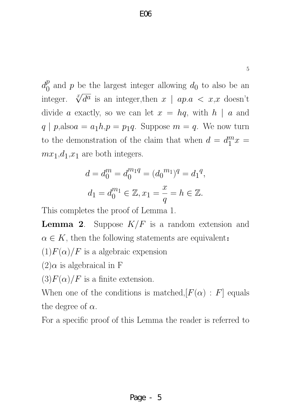$d_0^p$  $\binom{p}{0}$  and p be the largest integer allowing  $d_0$  to also be an integer.  $\sqrt[x]{d^a}$  is an integer, then  $x \mid ap.a < x, x$  doesn't divide a exactly, so we can let  $x = hq$ , with  $h | a$  and  $q | p$ ,also $a = a_1 h$ ,  $p = p_1 q$ . Suppose  $m = q$ . We now turn to the demonstration of the claim that when  $d = d_1^m$  $\int_1^m x =$  $mx_1,d_1,x_1$  are both integers.

$$
d = d_0^m = d_0^{m_1 q} = (d_0^{m_1})^q = d_1^q,
$$
  

$$
d_1 = d_0^{m_1} \in \mathbb{Z}, x_1 = \frac{x}{q} = h \in \mathbb{Z}.
$$

This completes the proof of Lemma 1.

**Lemma 2.** Suppose  $K/F$  is a random extension and  $\alpha \in K$ , then the following statements are equivalent:  $(1)F(\alpha)/F$  is a algebraic expension

 $(2)\alpha$  is algebraical in F

 $(3)F(\alpha)/F$  is a finite extension.

When one of the conditions is matched,  $[F(\alpha) : F]$  equals the degree of  $\alpha$ .

For a specific proof of this Lemma the reader is referred to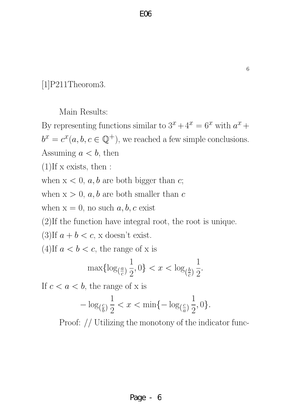[1]P211Theorom3.

Main Results:

By representing functions similar to  $3^x + 4^x = 6^x$  with  $a^x +$  $b^x = c^x(a, b, c \in \mathbb{Q}^+)$ , we reached a few simple conclusions. Assuming  $a < b$ , then

 $(1)$ If x exists, then :

when  $x < 0$ ,  $a, b$  are both bigger than  $c$ ;

when  $x > 0$ ,  $a, b$  are both smaller than c

when  $x = 0$ , no such  $a, b, c$  exist

(2)If the function have integral root, the root is unique.

(3)If  $a + b < c$ , x doesn't exist.

(4)If  $a < b < c$ , the range of x is

$$
\max\{\log_{(\frac{a}{c})}\frac{1}{2},0\} < x < \log_{(\frac{b}{c})}\frac{1}{2}.
$$

If  $c < a < b$ , the range of x is

$$
-\log_{(\frac{c}{b})}\frac{1}{2} < x < \min\{-\log_{(\frac{c}{a})}\frac{1}{2},0\}.
$$

Proof: // Utilizing the monotony of the indicator func-

Page - 6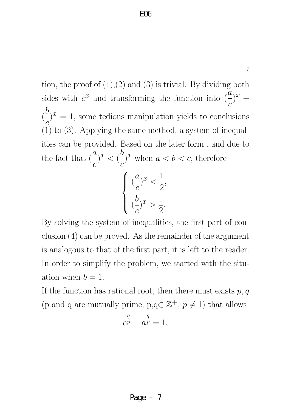7

tion, the proof of  $(1),(2)$  and  $(3)$  is trivial. By dividing both sides with  $c^x$  and transforming the function into  $\left(\frac{a}{c}\right)$  $\mathcal{C}_{0}^{(n)}$  $)^{x}$  +  $\left(\right)$ b  $\overline{c}$  $(x^{i})^{x} = 1$ , some tedious manipulation yields to conclusions (1) to (3). Applying the same method, a system of inequalities can be provided. Based on the later form , and due to the fact that  $\left(\frac{a}{a}\right)$  $\mathcal{C}_{0}^{(n)}$  $)^x < (\frac{b}{a})$  $\mathcal{C}_{0}^{(n)}$ )<sup>x</sup> when  $a < b < c$ , therefore  $\sqrt{ }$  $\int$  $\overline{\mathcal{L}}$  $\left(\right)$  $\overline{a}$  $\mathcal{C}_{0}^{(n)}$  $)^{x} < \frac{1}{2}$ 2 , ( b  $\mathcal{C}_{0}^{(n)}$  $\big)^{x} > \frac{1}{2}$ 2 .

By solving the system of inequalities, the first part of conclusion (4) can be proved. As the remainder of the argument is analogous to that of the first part, it is left to the reader. In order to simplify the problem, we started with the situation when  $b = 1$ .

If the function has rational root, then there must exists  $p, q$ (p and q are mutually prime,  $p,q \in \mathbb{Z}^+, p \neq 1$ ) that allows

$$
c^{\frac{q}{p}} - a^{\frac{q}{p}} = 1,
$$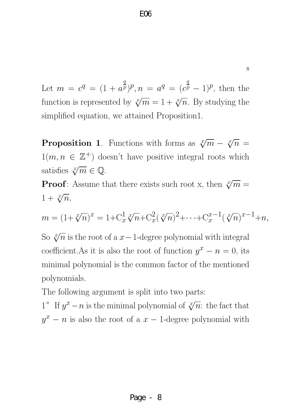Let  $m = c^q = (1 + a^{\frac{q}{p}})$  $(p^q, p^n)$ ,  $n = a^q = (c^{\frac{q}{p}} - 1)^p$ , then the function is represented by  $\sqrt[x]{m} = 1 + \sqrt[x]{n}$ . By studying the simplified equation, we attained Proposition1.

**Proposition 1**. Functions with forms as  $\sqrt[x]{m} - \sqrt[x]{n} =$  $1(m, n \in \mathbb{Z}^+)$  doesn't have positive integral roots which satisfies  $\sqrt[x]{m} \in \mathbb{Q}$ .

**Proof**: Assume that there exists such root x, then  $\sqrt[x]{m}$  =  $1 + \sqrt[x]{n}$ .

$$
m = (1 + \sqrt[x]{n})^x = 1 + C_x^1 \sqrt[x]{n} + C_x^2 (\sqrt[x]{n})^2 + \dots + C_x^{x-1} (\sqrt[x]{n})^{x-1} + n,
$$

So  $\sqrt[x]{n}$  is the root of a  $x-1$ -degree polynomial with integral coefficient.As it is also the root of function  $y^x - n = 0$ , its minimal polynomial is the common factor of the mentioned polynomials.

The following argument is split into two parts:

1<sup>o</sup> If  $y^x - n$  is the minimal polynomial of  $\sqrt[x]{n}$ : the fact that  $y^x - n$  is also the root of a  $x - 1$ -degree polynomial with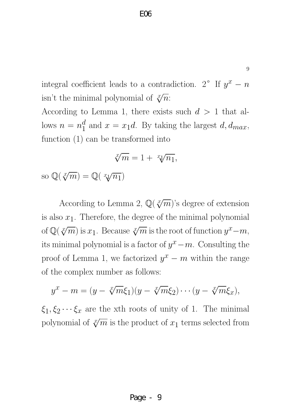9

integral coefficient leads to a contradiction. 2<sup>o</sup> If  $y^x - n$ isn't the minimal polynomial of  $\sqrt[x]{n}$ :

According to Lemma 1, there exists such  $d > 1$  that allows  $n = n_1^d$  $_1^d$  and  $x = x_1d$ . By taking the largest  $d, d_{max}$ , function (1) can be transformed into

$$
\sqrt[x]{m} = 1 + x\sqrt[n]{n_1},
$$

so  $\mathbb{Q}(\sqrt[x]{m}) = \mathbb{Q}(\sqrt[x]{n_1})$ 

According to Lemma 2,  $\mathbb{Q}(\sqrt[x]{m})$ 's degree of extension is also  $x_1$ . Therefore, the degree of the minimal polynomial of  $\mathbb{Q}(\sqrt[x]{m})$  is  $x_1$ . Because  $\sqrt[x]{m}$  is the root of function  $y^x-m$ , its minimal polynomial is a factor of  $y^x - m$ . Consulting the proof of Lemma 1, we factorized  $y^x - m$  within the range of the complex number as follows:

$$
y^x - m = (y - \sqrt[x]{m}\xi_1)(y - \sqrt[x]{m}\xi_2) \cdots (y - \sqrt[x]{m}\xi_x),
$$

 $\xi_1, \xi_2 \cdots \xi_x$  are the xth roots of unity of 1. The minimal polynomial of  $\sqrt[x]{m}$  is the product of  $x_1$  terms selected from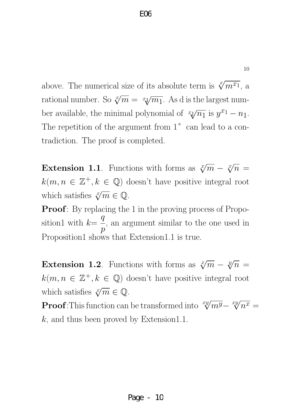above. The numerical size of its absolute term is  $\sqrt[x]{m^{x_1}}$ , a rational number. So  $\sqrt[x]{m} = x\sqrt{m_1}$ . As d is the largest number available, the minimal polynomial of  $\sqrt[x_1]{n_1}$  is  $y^{x_1} - n_1$ . The repetition of the argument from  $1^{\circ}$  can lead to a contradiction. The proof is completed.

**Extension 1.1**. Functions with forms as  $\sqrt[x]{m} - \sqrt[x]{n} =$  $k(m, n \in \mathbb{Z}^+, k \in \mathbb{Q})$  doesn't have positive integral root which satisfies  $\sqrt[x]{m} \in \mathbb{Q}$ .

**Proof**: By replacing the 1 in the proving process of Proposition1 with  $k=$  $\overline{q}$  $\overline{p}$ , an argument similar to the one used in Proposition1 shows that Extension1.1 is true.

**Extension 1.2**. Functions with forms as  $\sqrt[x]{m} - \sqrt[y]{n} =$  $k(m, n \in \mathbb{Z}^+, k \in \mathbb{Q})$  doesn't have positive integral root which satisfies  $\sqrt[x]{m} \in \mathbb{Q}$ .

**Proof:**This function can be transformed into  $\sqrt[xy]{m^y}$ –  $xyz/$  $\overline{n^x} =$  $k$ , and thus been proved by Extension1.1.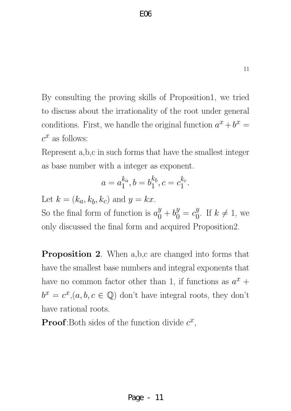By consulting the proving skills of Proposition1, we tried to discuss about the irrationality of the root under general conditions. First, we handle the original function  $a^x + b^x =$  $c^x$  as follows:

Represent a,b,c in such forms that have the smallest integer as base number with a integer as exponent.

$$
a = a_1^{k_a}, b = b_1^{k_b}, c = c_1^{k_c}.
$$

Let  $k = (k_a, k_b, k_c)$  and  $y = kx$ .

So the final form of function is  $a_0^y + b_0^y = c_0^y$  $\begin{array}{c} y \\ 0 \end{array}$  If  $k \neq 1$ , we only discussed the final form and acquired Proposition2.

**Proposition 2.** When a,b,c are changed into forms that have the smallest base numbers and integral exponents that have no common factor other than 1, if functions as  $a^x$  +  $b^x = c^x, (a, b, c \in \mathbb{Q})$  don't have integral roots, they don't have rational roots.

**Proof**:Both sides of the function divide  $c^x$ ,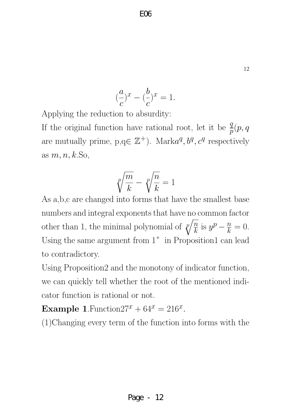$$
\left(\frac{a}{c}\right)^x - \left(\frac{b}{c}\right)^x = 1.
$$

Applying the reduction to absurdity:

If the original function have rational root, let it be  $\frac{q}{p}(p, q)$ are mutually prime,  $p,q \in \mathbb{Z}^+$ ). Mark $a^q, b^q, c^q$  respectively as  $m, n, k$ . So,

$$
\sqrt[p]{\frac{m}{k}} - \sqrt[p]{\frac{n}{k}} = 1
$$

As a,b,c are changed into forms that have the smallest base numbers and integral exponents that have no common factor other than 1, the minimal polynomial of  $\sqrt[p]{\frac{n}{k}}$  $\frac{n}{k}$  is  $y^p - \frac{n}{k}$  $\frac{n}{k}=0.$ Using the same argument from  $1^\circ$  in Proposition1 can lead to contradictory.

Using Proposition2 and the monotony of indicator function, we can quickly tell whether the root of the mentioned indicator function is rational or not.

Example 1. Function  $27^x + 64^x = 216^x$ .

(1)Changing every term of the function into forms with the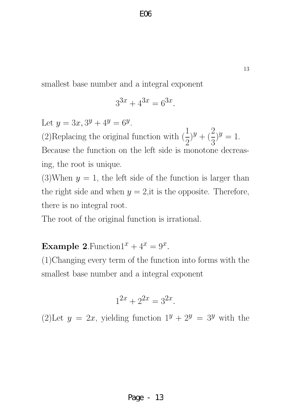smallest base number and a integral exponent

$$
3^{3x} + 4^{3x} = 6^{3x}.
$$

Let  $y = 3x, 3^y + 4^y = 6^y$ . (2)Replacing the original function with  $\left(\frac{1}{2}\right)$ 2  $)^{y} + (\frac{2}{2})^{y}$ 3  $)^{y}=1.$ Because the function on the left side is monotone decreasing, the root is unique.

(3)When  $y = 1$ , the left side of the function is larger than the right side and when  $y = 2$ , it is the opposite. Therefore, there is no integral root.

The root of the original function is irrational.

Example 2. Function  $1^x + 4^x = 9^x$ .

(1)Changing every term of the function into forms with the smallest base number and a integral exponent

$$
1^{2x} + 2^{2x} = 3^{2x}.
$$

(2)Let  $y = 2x$ , yielding function  $1^y + 2^y = 3^y$  with the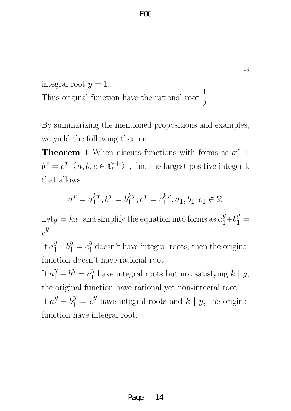integral root  $y = 1$ . Thus original function have the rational root  $\frac{1}{2}$ 2 .

By summarizing the mentioned propositions and examples, we yield the following theorem:

**Theorem 1** When discuss functions with forms as  $a^x$  +  $b^x = c^x$   $(a, b, c \in \mathbb{Q}^+)$ , find the largest positive integer k that allows

$$
a^x = a_1^{kx}, b^x = b_1^{kx}, c^x = c_1^{kx}, a_1, b_1, c_1 \in \mathbb{Z}
$$

Let  $y = kx$ , and simplify the equation into forms as  $a_1^y + b_1^y =$  $c_1^y$  $\frac{y}{1}$ .

If  $a_1^y + b_1^y = c_1^y$  $\frac{y}{1}$  doesn't have integral roots, then the original function doesn't have rational root;

If  $a_1^y + b_1^y = c_1^y$  $y_1^y$  have integral roots but not satisfying  $k \mid y$ , the original function have rational yet non-integral root If  $a_1^y + b_1^y = c_1^y$  $y_1^y$  have integral roots and  $k \mid y$ , the original function have integral root.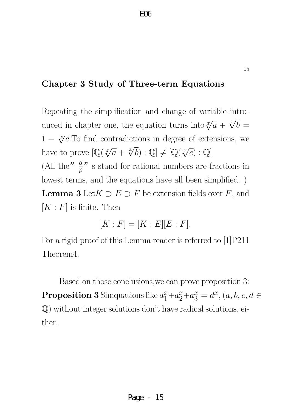## Chapter 3 Study of Three-term Equations

Repeating the simplification and change of variable introduced in chapter one, the equation turns into  $\sqrt[x]{a} + \sqrt[x]{b}$  $b =$  $1 - \sqrt[x]{c}$ . To find contradictions in degree of extensions, we have to prove  $\left[\mathbb{Q}(\sqrt[x]{a} + \sqrt[x]{a}\right)]$  $\overline{b}$ ) : Q  $\neq$   $[Q(\sqrt[x]{c}) : Q]$ (All the<sup>"</sup>  $\frac{q}{p}$ " s stand for rational numbers are fractions in lowest terms, and the equations have all been simplified. ) **Lemma 3** Let  $K \supset E \supset F$  be extension fields over  $F$ , and  $[K : F]$  is finite. Then

$$
[K:F] = [K:E][E:F].
$$

For a rigid proof of this Lemma reader is referred to [1]P211 Theorem4.

Based on those conclusions,we can prove proposition 3: **Proposition 3** Simquations like  $a_1^x + a_2^x + a_3^x = d^x$ ,  $(a, b, c, d \in$ Q) without integer solutions don't have radical solutions, either.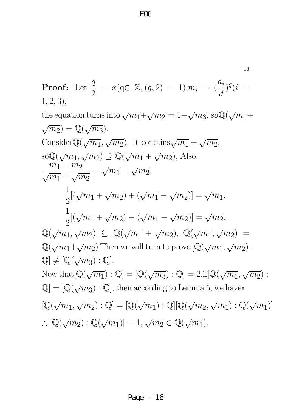16

Proof: Let 
$$
\frac{q}{2} = x(q \in \mathbb{Z}, (q, 2) = 1), m_i = (\frac{a_i}{d})^q (i = 1, 2, 3),
$$
  
\nthe equation turns into  $\sqrt{m_1} + \sqrt{m_2} = 1 - \sqrt{m_3}$ , so  $\mathbb{Q}(\sqrt{m_1} + \sqrt{m_2}) = \mathbb{Q}(\sqrt{m_3})$ .  
\nConsider  $\mathbb{Q}(\sqrt{m_1}, \sqrt{m_2})$ . It contains  $\sqrt{m_1} + \sqrt{m_2}$ , so  $\mathbb{Q}(\sqrt{m_1}, \sqrt{m_2}) \supseteq \mathbb{Q}(\sqrt{m_1} + \sqrt{m_2})$ , Also,  
\n $\frac{m_1 - m_2}{\sqrt{m_1} + \sqrt{m_2}} = \sqrt{m_1} - \sqrt{m_2}$ ,  
\n $\frac{1}{2}[(\sqrt{m_1} + \sqrt{m_2}) + (\sqrt{m_1} - \sqrt{m_2})] = \sqrt{m_1}$ ,  
\n $\frac{1}{2}[(\sqrt{m_1} + \sqrt{m_2}) - (\sqrt{m_1} - \sqrt{m_2})] = \sqrt{m_2}$ ,  
\n $\mathbb{Q}(\sqrt{m_1}, \sqrt{m_2}) \subseteq \mathbb{Q}(\sqrt{m_1} + \sqrt{m_2})$ ,  $\mathbb{Q}(\sqrt{m_1}, \sqrt{m_2}) =$   
\n $\mathbb{Q}(\sqrt{m_1} + \sqrt{m_2})$  Then we will turn to prove  $[\mathbb{Q}(\sqrt{m_1}, \sqrt{m_2})]$ :  
\n $\mathbb{Q} \neq [\mathbb{Q}(\sqrt{m_3}) : \mathbb{Q}]$ .  
\nNow that  $[\mathbb{Q}(\sqrt{m_1}) : \mathbb{Q}] = [\mathbb{Q}(\sqrt{m_3}) : \mathbb{Q}] = 2$ , if  $[\mathbb{Q}(\sqrt{m_1}, \sqrt{m_2})]$ :  
\n $\mathbb{Q} = [\mathbb{Q}(\sqrt{m_3}) : \mathbb{Q}]$ , then according to Lemma 5, we have:  
\n $[\mathbb{Q}(\sqrt{m_1}, \sqrt{m_2}) : \mathbb{Q}] = [\mathbb{Q}(\sqrt{m_1}) : \mathbb{Q}][$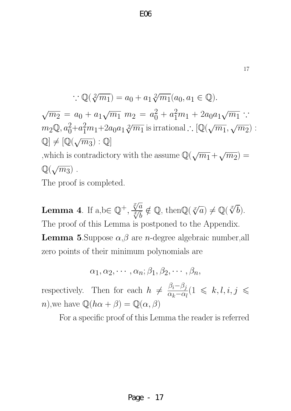$$
\therefore \mathbb{Q}(\sqrt[2]{m_1}) = a_0 + a_1 \sqrt[2]{m_1}(a_0, a_1 \in \mathbb{Q}).
$$
  

$$
\sqrt{m_2} = a_0 + a_1 \sqrt{m_1} m_2 = a_0^2 + a_1^2 m_1 + 2a_0 a_1 \sqrt{m_1} \therefore m_2 \mathbb{Q}, a_0^2 + a_1^2 m_1 + 2a_0 a_1 \sqrt[2]{m_1} \text{ is irrational.} \therefore [\mathbb{Q}(\sqrt{m_1}, \sqrt{m_2}) : \mathbb{Q}] \neq [\mathbb{Q}(\sqrt{m_3}) : \mathbb{Q}]
$$
  
,which is contradictory with the assume  $\mathbb{Q}(\sqrt{m_1} + \sqrt{m_2}) = \mathbb{Q}(\sqrt{m_3})$ .

The proof is completed.

**Lemma 4**. If  $a, b \in \mathbb{Q}^+,$  $\sqrt[x]{a}$  $\frac{\tilde{\mathbf{V}}}{x}$ b  $\notin \mathbb{Q}$ , then $\mathbb{Q}(\sqrt[x]{a}) \neq \mathbb{Q}(\sqrt[x]{a})$  $(b).$ The proof of this Lemma is postponed to the Appendix. **Lemma 5.**Suppose  $\alpha, \beta$  are *n*-degree algebraic number, all zero points of their minimum polynomials are

$$
\alpha_1, \alpha_2, \cdots, \alpha_n; \beta_1, \beta_2, \cdots, \beta_n,
$$

respectively. Then for each  $h \neq$  $\beta_i-\beta_j$  $\overline{\alpha_k-\alpha_l}$  $(1 \leq k, l, i, j \leq$ n),we have  $\mathbb{Q}(h\alpha+\beta)=\mathbb{Q}(\alpha,\beta)$ 

Page - 17

For a specific proof of this Lemma the reader is referred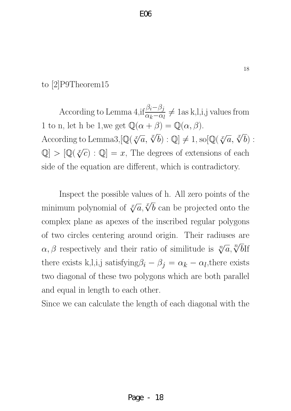## to [2]P9Theorem15

According to Lemma 4,if  $\frac{\beta_i-\beta_j}{\alpha_i-\alpha_i}$  $\alpha_k-\alpha_l$  $\neq 1$ as k,l,i,j values from 1 to n, let h be 1, we get  $\mathbb{Q}(\alpha + \beta) = \mathbb{Q}(\alpha, \beta)$ . According to Lemma3,  $[\mathbb{Q}(\sqrt[x]{a}, \sqrt[x]{b}) : \mathbb{Q}] \neq 1$ , so  $[\mathbb{Q}(\sqrt[x]{a}, \sqrt[x]{b}) :$  $\mathbb{Q}$  >  $[\mathbb{Q}(\sqrt[x]{c}) : \mathbb{Q}] = x$ , The degrees of extensions of each side of the equation are different, which is contradictory.

Inspect the possible values of h. All zero points of the minimum polynomial of  $\sqrt[x]{a}, \sqrt[x]{b}$ b can be projected onto the complex plane as apexes of the inscribed regular polygons of two circles centering around origin. Their radiuses are  $\alpha, \beta$  respectively and their ratio of similitude is  $\sqrt[n]{a}, \sqrt[n]{b}$ bIf there exists k,l,i,j satisfying $\beta_i - \beta_j = \alpha_k - \alpha_l$ , there exists two diagonal of these two polygons which are both parallel and equal in length to each other.

Since we can calculate the length of each diagonal with the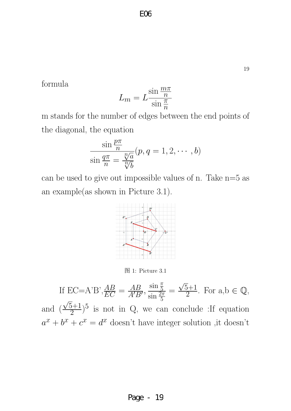formula

$$
L_m = L \frac{\sin \frac{m\pi}{n}}{\sin \frac{\pi}{n}}
$$

m stands for the number of edges between the end points of the diagonal, the equation

$$
\frac{\sin\frac{p\pi}{n}}{\sin\frac{q\pi}{n}} = \frac{\sqrt[n]{a}}{\sqrt[n]{b}}(p, q = 1, 2, \cdots, b)
$$

can be used to give out impossible values of n. Take  $n=5$  as an example(as shown in Picture 3.1).



图 1: Picture 3.1

If EC=A'B',  $\frac{AB}{EC} = \frac{AB}{A'B}$  $\frac{AB}{A'B'}$  $\sin \frac{\pi}{5}$  $\sin \frac{2\pi}{5}$ = √  $5+1$  $\frac{5+1}{2}$ . For  $a,b \in \mathbb{Q}$ , and  $\left(\frac{\sqrt{5}+1}{2}\right)$ √  $(\frac{5+1}{2})^5$  is not in Q, we can conclude : If equation  $a^x + b^x + c^x = d^x$  doesn't have integer solution ,it doesn't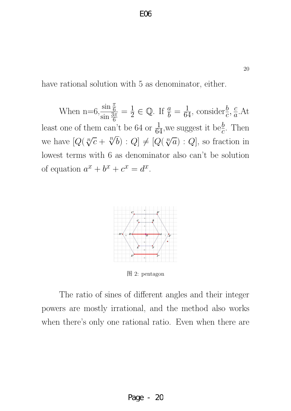have rational solution with 5 as denominator, either.

When  $n=6, \frac{\sin \frac{\pi}{6}}{\sin \frac{3\pi}{6}}$  $\sin \frac{3\pi}{6}$  $=\frac{1}{2}$  $\frac{1}{2} \in \mathbb{Q}$ . If  $\frac{a}{b} = \frac{1}{64}$ , consider $\frac{b}{c}$ ,  $\frac{c}{a}$  $\frac{c}{a}$ . At least one of them can't be 64 or  $\frac{1}{64}$ , we suggest it be<sub>c</sub><sup>b</sup>. Then we have  $[Q(\sqrt[n]{c} +$ √n  $\overline{b}$  :  $Q$   $\neq$   $[Q(\sqrt[n]{a}) : Q]$ , so fraction in lowest terms with 6 as denominator also can't be solution of equation  $a^x + b^x + c^x = d^x$ .



图 2: pentagon

The ratio of sines of different angles and their integer powers are mostly irrational, and the method also works when there's only one rational ratio. Even when there are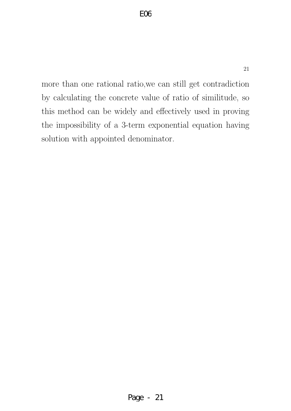more than one rational ratio,we can still get contradiction by calculating the concrete value of ratio of similitude, so this method can be widely and effectively used in proving the impossibility of a 3-term exponential equation having solution with appointed denominator.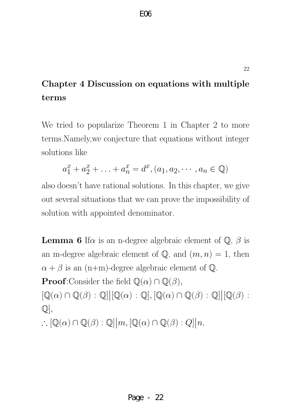# Chapter 4 Discussion on equations with multiple terms

We tried to popularize Theorem 1 in Chapter 2 to more terms.Namely,we conjecture that equations without integer solutions like

$$
a_1^x + a_2^x + \ldots + a_n^x = d^x, (a_1, a_2, \cdots, a_n \in \mathbb{Q})
$$

also doesn't have rational solutions. In this chapter, we give out several situations that we can prove the impossibility of solution with appointed denominator.

**Lemma 6** If  $\alpha$  is an n-degree algebraic element of  $\mathbb{Q}$ ,  $\beta$  is an m-degree algebraic element of  $\mathbb{Q}$ , and  $(m, n) = 1$ , then  $\alpha + \beta$  is an (n+m)-degree algebraic element of Q. **Proof**:Consider the field  $\mathbb{Q}(\alpha) \cap \mathbb{Q}(\beta)$ ,  $[\mathbb{Q}(\alpha) \cap \mathbb{Q}(\beta) : \mathbb{Q}]]$  $\vert$  $[\mathbb{Q}(\alpha) : \mathbb{Q}], [\mathbb{Q}(\alpha) \cap \mathbb{Q}(\beta) : \mathbb{Q}]]$  $\vert$  $[{\mathbb Q}(\beta):$  $\mathbb{Q}$ ,  $\therefore [\mathbb{Q}(\alpha) \cap \mathbb{Q}(\beta) : \mathbb{Q}] \big| m, [\mathbb{Q}(\alpha) \cap \mathbb{Q}(\beta) : Q] \big| n,$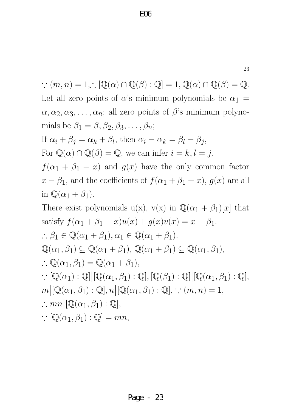23

 $\therefore$   $(m, n) = 1, \therefore [\mathbb{Q}(\alpha) \cap \mathbb{Q}(\beta) : \mathbb{Q}] = 1, \mathbb{Q}(\alpha) \cap \mathbb{Q}(\beta) = \mathbb{Q}.$ Let all zero points of  $\alpha$ 's minimum polynomials be  $\alpha_1 =$  $\alpha, \alpha_2, \alpha_3, \ldots, \alpha_n$ ; all zero points of  $\beta$ 's minimum polynomials be  $\beta_1 = \beta, \beta_2, \beta_3, \ldots, \beta_n;$ If  $\alpha_i + \beta_j = \alpha_k + \beta_l$ , then  $\alpha_i - \alpha_k = \beta_l - \beta_j$ , For  $\mathbb{Q}(\alpha) \cap \mathbb{Q}(\beta) = \mathbb{Q}$ , we can infer  $i = k, l = j$ .  $f(\alpha_1 + \beta_1 - x)$  and  $g(x)$  have the only common factor  $x - \beta_1$ , and the coefficients of  $f(\alpha_1 + \beta_1 - x)$ ,  $g(x)$  are all in  $\mathbb{Q}(\alpha_1 + \beta_1)$ . There exist polynomials u(x), v(x) in  $\mathbb{Q}(\alpha_1 + \beta_1)[x]$  that satisfy  $f(\alpha_1 + \beta_1 - x)u(x) + g(x)v(x) = x - \beta_1$ .  $\therefore \beta_1 \in \mathbb{Q}(\alpha_1 + \beta_1), \alpha_1 \in \mathbb{Q}(\alpha_1 + \beta_1).$  $\mathbb{Q}(\alpha_1, \beta_1) \subseteq \mathbb{Q}(\alpha_1 + \beta_1), \mathbb{Q}(\alpha_1 + \beta_1) \subseteq \mathbb{Q}(\alpha_1, \beta_1),$  $\therefore \mathbb{Q}(\alpha_1, \beta_1) = \mathbb{Q}(\alpha_1 + \beta_1),$  $\big| \big| \mathbb{Q}(\alpha_1) : \mathbb{Q} \big|$  $\big| [\mathbb{Q}(\alpha_1, \beta_1) : \mathbb{Q}], [\mathbb{Q}(\beta_1) : \mathbb{Q}] \big|$  $|[\mathbb{Q}(\alpha_1,\beta_1):\mathbb{Q}],$  $|m|$  $\big| [\mathbb{Q}(\alpha_1, \beta_1) : \mathbb{Q}], n \big|$  $[$  $\mathbb{Q}(\alpha_1, \beta_1)$  :  $\mathbb{Q}$ ,  $\therefore$   $(m, n) = 1$ ,  $\ldots$  mn  $|[\mathbb{Q}(\alpha_1,\beta_1):\mathbb{Q}],$  $\therefore \left[\mathbb{Q}(\alpha_1, \beta_1) : \mathbb{Q}\right] = mn,$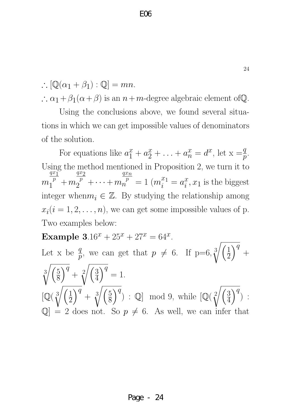$\therefore [\mathbb{Q}(\alpha_1 + \beta_1) : \mathbb{Q}] = mn.$ 

 $\therefore$   $\alpha_1 + \beta_1(\alpha + \beta)$  is an  $n+m$ -degree algebraic element of  $\mathbb{Q}$ .

Using the conclusions above, we found several situations in which we can get impossible values of denominators of the solution.

For equations like  $a_1^x + a_2^x + \ldots + a_n^x = d^x$ , let  $x = \frac{q}{p}$ . Using the method mentioned in Proposition 2, we turn it to  $\overline{m}$  $\frac{qx_1}{x_1}$  $\frac{p}{1} + m$  $\frac{qx_2}{}$  $\overline{p}^p + \cdots + m$  $\frac{q}{n}$  $\frac{1}{n}^p = 1 \; (m_i^x)$  $\frac{x_1}{i} = a_i^x$  $\frac{x}{i}$ ,  $x_1$  is the biggest integer when  $m_i \in \mathbb{Z}$ . By studying the relationship among  $x_i(i = 1, 2, \ldots, n)$ , we can get some impossible values of p. Two examples below:

Example  $3.16^x + 25^x + 27^x = 64^x$ . Let x be  $\frac{q}{p}$ , we can get that  $p \neq 6$ . If  $p=6, \sqrt[3]{\left(\frac{1}{2}\right)}$  $\overline{2}$  $\overline{\big)^q}$  +  $\sqrt[3]{\frac{5}{2}}$ 8  $\sqrt{q}$  +  $\sqrt[2]{\left(\frac{3}{4}\right)}$ 4  $\overline{\big)}^{\overline{q}}=1.$  $\mathbb{Q}(\sqrt[3]{\left(\frac{1}{2}\right)}$  $\overline{2}$  $\sqrt{q}$  +  $\sqrt[3]{\left(\frac{5}{8}\right)}$ 8  $\overline{Q}^q$  : Q mod 9, while  $\left[\mathbb{Q}(\sqrt[2]{\left(\frac{3}{4}\right)}\right]$ 4  $\overline{\big\}^q$ ) :  $\mathbb{Q}$  = 2 does not. So  $p \neq 6$ . As well, we can infer that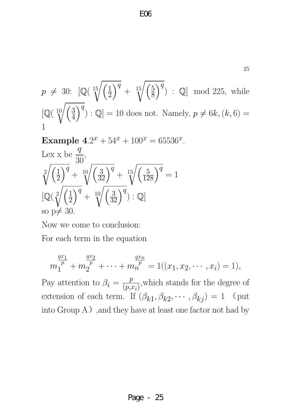E06

$$
p \neq 30: \left[ \mathbb{Q} \left( \sqrt[15]{\left(\frac{1}{2}\right)^q} + \sqrt[15]{\left(\frac{5}{8}\right)^q} \right) : \mathbb{Q} \right] \text{ mod } 225, \text{ while}
$$
  

$$
\left[ \mathbb{Q} \left( \sqrt[10]{\left(\frac{3}{4}\right)^q} \right) : \mathbb{Q} \right] = 10 \text{ does not. Namely, } p \neq 6k, (k, 6) = 1
$$

Example  $4.2^x + 54^x + 100^x = 65536^x$ . Lex x be  $\frac{q}{2}$ 30 ,  $\sqrt{2}/\sqrt{1}$  $\overline{2}$  $\sqrt{q} + \sqrt[10]{\left(\frac{3}{32}\right)^q} + \sqrt[15]{\left(\frac{5}{128}\right)^q} = 1$  $\left[\mathbb{Q}(\sqrt[2]{\left(\frac{1}{2}\right)}\right]$  $\overline{2}$  $\overline{\bigg)}^q + \sqrt[10]{\left(\frac{3}{32}\right)^q}$  : Q so  $p \neq 30$ .

Now we come to conclusion:

For each term in the equation

$$
m_1^{\frac{qx_1}{p}} + m_2^{\frac{qx_2}{p}} + \dots + m_n^{\frac{qx_n}{p}} = 1((x_1, x_2, \dots, x_i) = 1),
$$

Pay attention to  $\beta_i = \frac{p}{(p_i)}$  $(p,x_i)$ ,which stands for the degree of extension of each term. If  $(\beta_{k1}, \beta_{k2}, \cdots, \beta_{kj}) = 1$  (put  $\int$ into Group A $)$ , and they have at least one factor not had by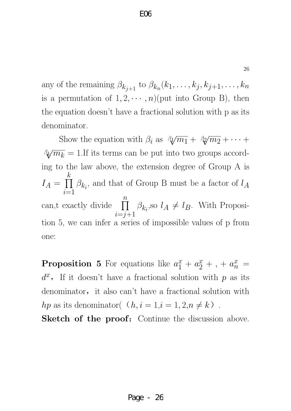any of the remaining  $\beta_{k_{j+1}}$  to  $\beta_{k_n}(k_1,\ldots,k_j,k_{j+1},\ldots,k_n)$ is a permutation of  $1, 2, \cdots, n$ )(put into Group B), then the equation doesn't have a fractional solution with p as its denominator.

Show the equation with  $\beta_i$  as  $\beta_i\sqrt{m_1} + \beta_i\sqrt{m_2} + \cdots$  $\beta_k/\overline{m_k} = 1$ . If its terms can be put into two groups according to the law above, the extension degree of Group A is  $I_A = \prod$ k  $i=1$  $\beta_{k_i}$ , and that of Group B must be a factor of  $l_A$ can,t exactly divide  $\prod$  $\overline{n}$  $i=j+1$  $\beta_{k_i}$ , so  $l_A \neq l_B$ . With Proposition 5, we can infer a series of impossible values of p from one:

**Proposition 5** For equations like  $a_1^x + a_2^x + ... + a_n^x =$  $d^x$ , If it doesn't have a fractional solution with p as its denominator, it also can't have a fractional solution with *hp* as its denominator( $(h, i = 1, i = 1, 2, n \neq k)$ .

Sketch of the proof: Continue the discussion above.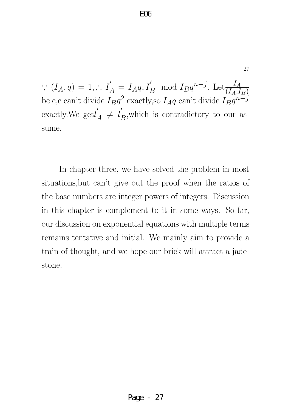$\therefore$   $(I_A, q) = 1, \therefore I'_A$  $I_A = I_A q, I_B' \mod I_B q^{n-j}$ . Let  $\frac{I_A}{(I_A, I_A)}$  $(I_A,I_B)$ be c,c can't divide  $I_B q^2$  exactly, so  $I_A q$  can't divide  $I_B q^{n-j}$ exactly. We  $\text{getl}'$  $\frac{1}{A} \neq l'_1$  $B$ , which is contradictory to our assume.

In chapter three, we have solved the problem in most situations,but can't give out the proof when the ratios of the base numbers are integer powers of integers. Discussion in this chapter is complement to it in some ways. So far, our discussion on exponential equations with multiple terms remains tentative and initial. We mainly aim to provide a train of thought, and we hope our brick will attract a jadestone.